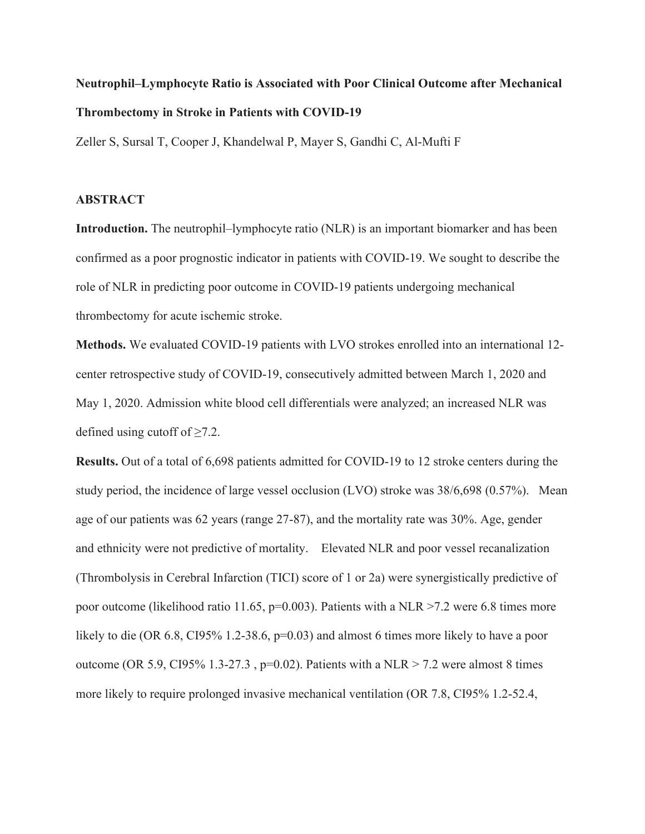## **Neutrophil–Lymphocyte Ratio is Associated with Poor Clinical Outcome after Mechanical Thrombectomy in Stroke in Patients with COVID-19**

Zeller S, Sursal T, Cooper J, Khandelwal P, Mayer S, Gandhi C, Al-Mufti F

## **ABSTRACT**

**Introduction.** The neutrophil–lymphocyte ratio (NLR) is an important biomarker and has been confirmed as a poor prognostic indicator in patients with COVID-19. We sought to describe the role of NLR in predicting poor outcome in COVID-19 patients undergoing mechanical thrombectomy for acute ischemic stroke.

**Methods.** We evaluated COVID-19 patients with LVO strokes enrolled into an international 12 center retrospective study of COVID-19, consecutively admitted between March 1, 2020 and May 1, 2020. Admission white blood cell differentials were analyzed; an increased NLR was defined using cutoff of  $\geq 7.2$ .

**Results.** Out of a total of 6,698 patients admitted for COVID-19 to 12 stroke centers during the study period, the incidence of large vessel occlusion (LVO) stroke was 38/6,698 (0.57%). Mean age of our patients was 62 years (range 27-87), and the mortality rate was 30%. Age, gender and ethnicity were not predictive of mortality. Elevated NLR and poor vessel recanalization (Thrombolysis in Cerebral Infarction (TICI) score of 1 or 2a) were synergistically predictive of poor outcome (likelihood ratio 11.65,  $p=0.003$ ). Patients with a NLR >7.2 were 6.8 times more likely to die (OR 6.8, CI95% 1.2-38.6, p=0.03) and almost 6 times more likely to have a poor outcome (OR 5.9, CI95% 1.3-27.3, p=0.02). Patients with a NLR > 7.2 were almost 8 times more likely to require prolonged invasive mechanical ventilation (OR 7.8, CI95% 1.2-52.4,